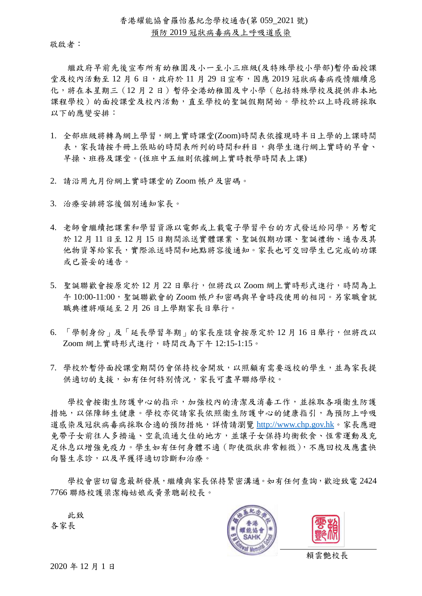香港耀能協會羅怡基紀念學校通告(第 059\_2021 號)

## 預防 2019 冠狀病毒病及上呼吸道感染

敬啟者:

繼政府早前先後宣布所有幼稚園及小一至小三班級(及特殊學校小學部)暫停面授課 堂及校內活動至12月6日,政府於11月29日宣布,因應2019冠狀病毒病疫情繼續惡 化,將在本星期三(12 月 2 日)暫停全港幼稚園及中小學(包括特殊學校及提供非本地 課程學校)的面授課堂及校內活動,直至學校的聖誕假期開始。學校於以上時段將採取 以下的應變安排:

- 1. 全部班級將轉為網上學習,網上實時課堂(Zoom)時間表依據現時半日上學的上課時間 表,家長請按手冊上張貼的時間表所列的時間和科目,與學生進行網上實時的早會、 早操、班務及課堂。(恆班中五組則依據網上實時教學時間表上課)
- 2. 請沿用九月份網上實時課堂的 Zoom 帳戶及密碼。
- 3. 治療安排將容後個別通知家長。
- 4. 老師會繼續把課業和學習資源以電郵或上載電子學習平台的方式發送給同學。另暫定 於 12 月 11 日至 12 月 15 日期間派送實體課業、聖誕假期功課、聖誕禮物、通告及其 他物資等給家長,實際派送時間和地點將容後通知。家長也可交回學生已完成的功課 或已簽妥的通告。
- 5. 聖誕聯歡會按原定於 12 月 22 日舉行,但將改以 Zoom 網上實時形式進行,時間為上 午 10:00-11:00,聖誕聯歡會的 Zoom 帳戶和密碼與早會時段使用的相同。另家職會就 職典禮將順延至 2 月 26 日上學期家長日舉行。
- 6. 「學制身份」及「延長學習年期」的家長座談會按原定於 12 月 16 日舉行,但將改以 Zoom 網上實時形式進行,時間改為下午 12:15-1:15。
- 7. 學校於暫停面授課堂期間仍會保持校舍開放,以照顧有需要返校的學生,並為家長提 供適切的支援,如有任何特別情況,家長可盡早聯絡學校。

學校會按衞生防護中心的指示,加強校內的清潔及消毒工作,並採取各項衞生防護 措施,以保障師生健康。學校亦促請家長依照衞生防護中心的健康指引,為預防上呼吸 道感染及冠狀病毒病採取合適的預防措施,詳情請瀏覽 [http://www.chp.gov.hk](http://www.chp.gov.hk/)。家長應避 免帶子女前往人多擠逼、空氣流通欠佳的地方,並讓子女保持均衡飲食、恆常運動及充 足休息以增強免疫力。學生如有任何身體不適(即使徵狀非常輕微),不應回校及應盡快 向醫生求診,以及早獲得適切診斷和治療。

學校會密切留意最新發展,繼續與家長保持緊密溝通。如有任何查詢,歡迎致電 2424 7766 聯絡校護梁潔梅姑娘或黃景聰副校長。

 此致 各家長





賴雲艷校長

2020 年 12 月 1 日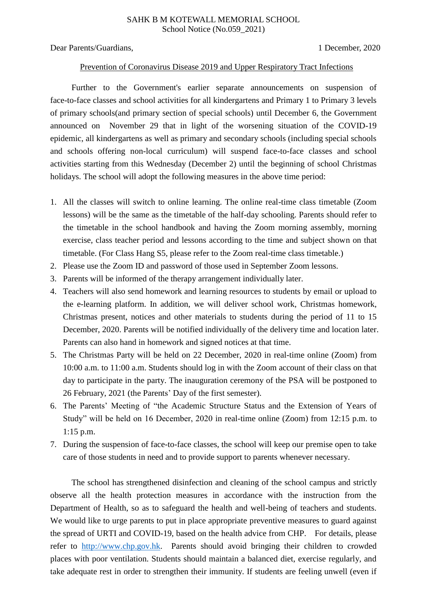## SAHK B M KOTEWALL MEMORIAL SCHOOL School Notice (No.059 2021)

Dear Parents/Guardians, 1 December, 2020

## Prevention of Coronavirus Disease 2019 and Upper Respiratory Tract Infections

Further to the Government's earlier separate announcements on suspension of face-to-face classes and school activities for all kindergartens and Primary 1 to Primary 3 levels of primary schools(and primary section of special schools) until December 6, the Government announced on November 29 that in light of the worsening situation of the COVID-19 epidemic, all kindergartens as well as primary and secondary schools (including special schools and schools offering non-local curriculum) will suspend face-to-face classes and school activities starting from this Wednesday (December 2) until the beginning of school Christmas holidays. The school will adopt the following measures in the above time period:

- 1. All the classes will switch to online learning. The online real-time class timetable (Zoom lessons) will be the same as the timetable of the half-day schooling. Parents should refer to the timetable in the school handbook and having the Zoom morning assembly, morning exercise, class teacher period and lessons according to the time and subject shown on that timetable. (For Class Hang S5, please refer to the Zoom real-time class timetable.)
- 2. Please use the Zoom ID and password of those used in September Zoom lessons.
- 3. Parents will be informed of the therapy arrangement individually later.
- 4. Teachers will also send homework and learning resources to students by email or upload to the e-learning platform. In addition, we will deliver school work, Christmas homework, Christmas present, notices and other materials to students during the period of 11 to 15 December, 2020. Parents will be notified individually of the delivery time and location later. Parents can also hand in homework and signed notices at that time.
- 5. The Christmas Party will be held on 22 December, 2020 in real-time online (Zoom) from 10:00 a.m. to 11:00 a.m. Students should log in with the Zoom account of their class on that day to participate in the party. The inauguration ceremony of the PSA will be postponed to 26 February, 2021 (the Parents' Day of the first semester).
- 6. The Parents' Meeting of "the Academic Structure Status and the Extension of Years of Study" will be held on 16 December, 2020 in real-time online (Zoom) from 12:15 p.m. to 1:15 p.m.
- 7. During the suspension of face-to-face classes, the school will keep our premise open to take care of those students in need and to provide support to parents whenever necessary.

The school has strengthened disinfection and cleaning of the school campus and strictly observe all the health protection measures in accordance with the instruction from the Department of Health, so as to safeguard the health and well-being of teachers and students. We would like to urge parents to put in place appropriate preventive measures to guard against the spread of URTI and COVID-19, based on the health advice from CHP. For details, please refer to [http://www.chp.gov.hk.](http://www.chp.gov.hk/) Parents should avoid bringing their children to crowded places with poor ventilation. Students should maintain a balanced diet, exercise regularly, and take adequate rest in order to strengthen their immunity. If students are feeling unwell (even if